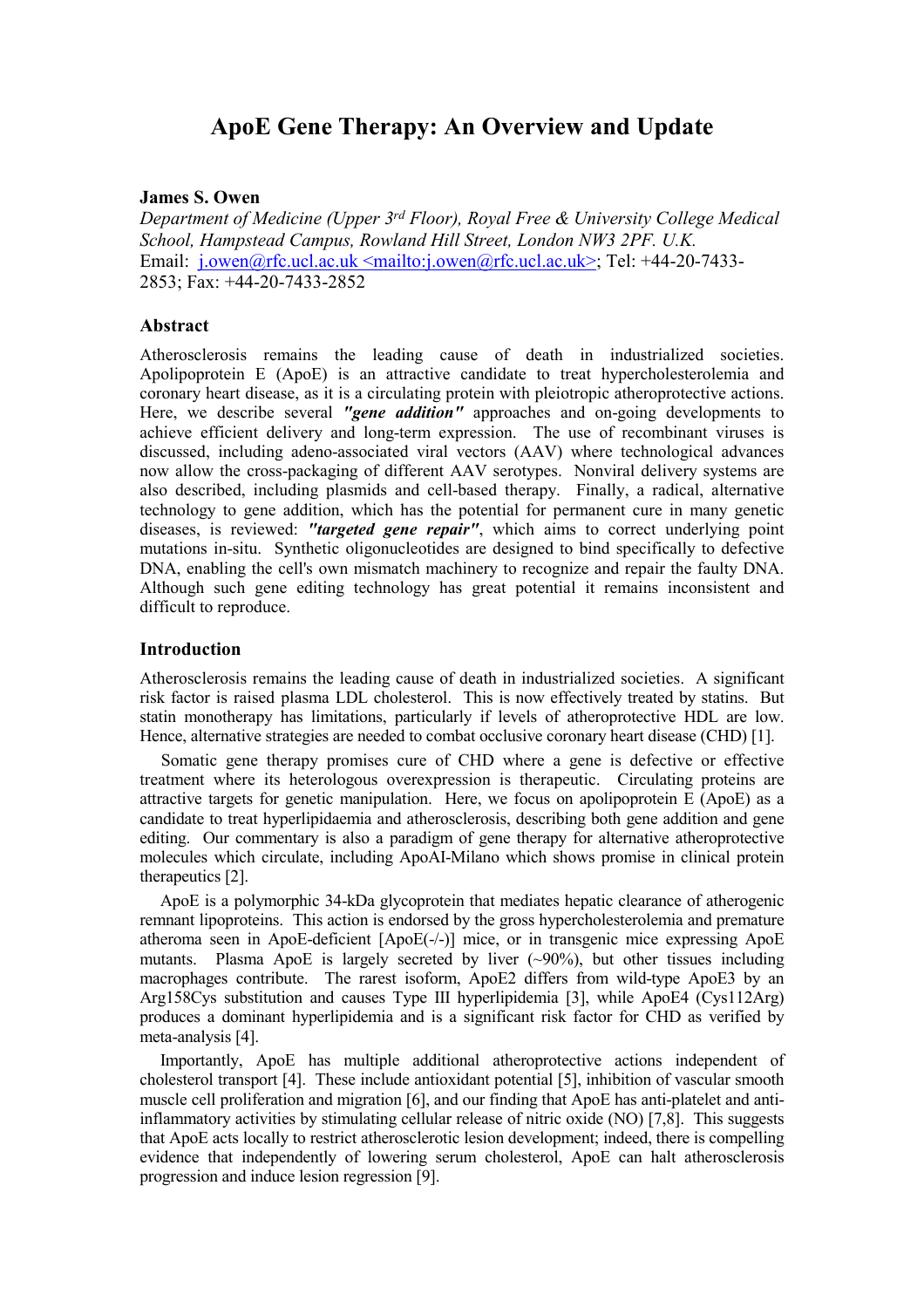# ApoE Gene Therapy: An Overview and Update

#### James S. Owen

Department of Medicine (Upper 3<sup>rd</sup> Floor), Royal Free & University College Medical School, Hampstead Campus, Rowland Hill Street, London NW3 2PF. U.K. Email: j.owen@rfc.ucl.ac.uk <mailto:j.owen@rfc.ucl.ac.uk>; Tel: +44-20-7433-2853; Fax: +44-20-7433-2852

#### Abstract

Atherosclerosis remains the leading cause of death in industrialized societies. Apolipoprotein E (ApoE) is an attractive candidate to treat hypercholesterolemia and coronary heart disease, as it is a circulating protein with pleiotropic atheroprotective actions. Here, we describe several "gene addition" approaches and on-going developments to achieve efficient delivery and long-term expression. The use of recombinant viruses is discussed, including adeno-associated viral vectors (AAV) where technological advances now allow the cross-packaging of different AAV serotypes. Nonviral delivery systems are also described, including plasmids and cell-based therapy. Finally, a radical, alternative technology to gene addition, which has the potential for permanent cure in many genetic diseases, is reviewed: "targeted gene repair", which aims to correct underlying point mutations in-situ. Synthetic oligonucleotides are designed to bind specifically to defective DNA, enabling the cell's own mismatch machinery to recognize and repair the faulty DNA. Although such gene editing technology has great potential it remains inconsistent and difficult to reproduce.

#### **Introduction**

Atherosclerosis remains the leading cause of death in industrialized societies. A significant risk factor is raised plasma LDL cholesterol. This is now effectively treated by statins. But statin monotherapy has limitations, particularly if levels of atheroprotective HDL are low. Hence, alternative strategies are needed to combat occlusive coronary heart disease (CHD) [1].

 Somatic gene therapy promises cure of CHD where a gene is defective or effective treatment where its heterologous overexpression is therapeutic. Circulating proteins are attractive targets for genetic manipulation. Here, we focus on apolipoprotein E (ApoE) as a candidate to treat hyperlipidaemia and atherosclerosis, describing both gene addition and gene editing. Our commentary is also a paradigm of gene therapy for alternative atheroprotective molecules which circulate, including ApoAI-Milano which shows promise in clinical protein therapeutics [2].

 ApoE is a polymorphic 34-kDa glycoprotein that mediates hepatic clearance of atherogenic remnant lipoproteins. This action is endorsed by the gross hypercholesterolemia and premature atheroma seen in ApoE-deficient [ApoE(-/-)] mice, or in transgenic mice expressing ApoE mutants. Plasma ApoE is largely secreted by liver (~90%), but other tissues including macrophages contribute. The rarest isoform, ApoE2 differs from wild-type ApoE3 by an Arg158Cys substitution and causes Type III hyperlipidemia [3], while ApoE4 (Cys112Arg) produces a dominant hyperlipidemia and is a significant risk factor for CHD as verified by meta-analysis [4].

 Importantly, ApoE has multiple additional atheroprotective actions independent of cholesterol transport [4]. These include antioxidant potential [5], inhibition of vascular smooth muscle cell proliferation and migration [6], and our finding that ApoE has anti-platelet and antiinflammatory activities by stimulating cellular release of nitric oxide (NO) [7,8]. This suggests that ApoE acts locally to restrict atherosclerotic lesion development; indeed, there is compelling evidence that independently of lowering serum cholesterol, ApoE can halt atherosclerosis progression and induce lesion regression [9].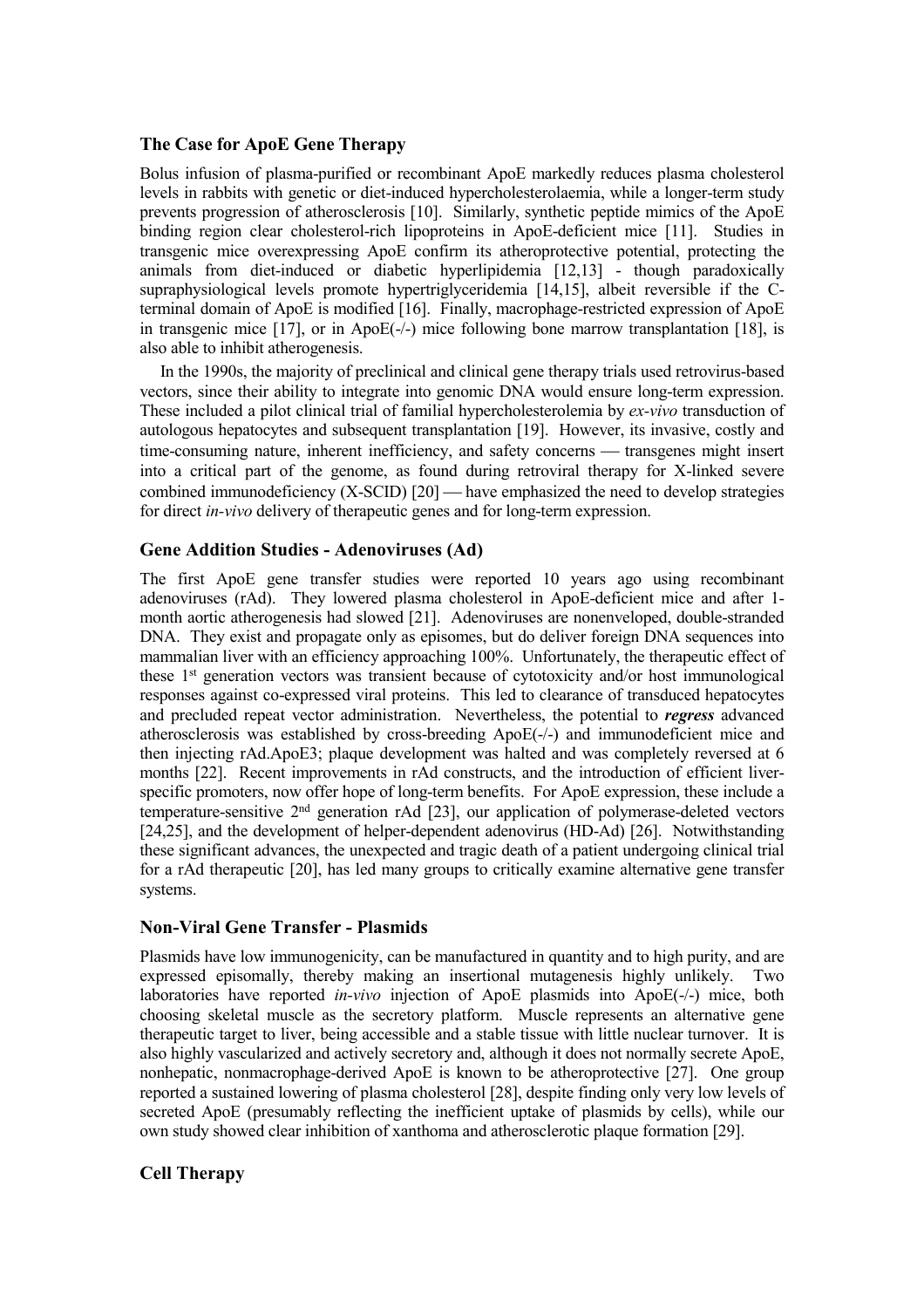### The Case for ApoE Gene Therapy

Bolus infusion of plasma-purified or recombinant ApoE markedly reduces plasma cholesterol levels in rabbits with genetic or diet-induced hypercholesterolaemia, while a longer-term study prevents progression of atherosclerosis [10]. Similarly, synthetic peptide mimics of the ApoE binding region clear cholesterol-rich lipoproteins in ApoE-deficient mice [11]. Studies in transgenic mice overexpressing ApoE confirm its atheroprotective potential, protecting the animals from diet-induced or diabetic hyperlipidemia [12,13] - though paradoxically supraphysiological levels promote hypertriglyceridemia [14,15], albeit reversible if the Cterminal domain of ApoE is modified [16]. Finally, macrophage-restricted expression of ApoE in transgenic mice [17], or in ApoE(-/-) mice following bone marrow transplantation [18], is also able to inhibit atherogenesis.

 In the 1990s, the majority of preclinical and clinical gene therapy trials used retrovirus-based vectors, since their ability to integrate into genomic DNA would ensure long-term expression. These included a pilot clinical trial of familial hypercholesterolemia by ex-vivo transduction of autologous hepatocytes and subsequent transplantation [19]. However, its invasive, costly and time-consuming nature, inherent inefficiency, and safety concerns — transgenes might insert into a critical part of the genome, as found during retroviral therapy for X-linked severe combined immunodeficiency  $(X-SCID)$  [20] — have emphasized the need to develop strategies for direct in-vivo delivery of therapeutic genes and for long-term expression.

## Gene Addition Studies - Adenoviruses (Ad)

The first ApoE gene transfer studies were reported 10 years ago using recombinant adenoviruses (rAd). They lowered plasma cholesterol in ApoE-deficient mice and after 1 month aortic atherogenesis had slowed [21]. Adenoviruses are nonenveloped, double-stranded DNA. They exist and propagate only as episomes, but do deliver foreign DNA sequences into mammalian liver with an efficiency approaching 100%. Unfortunately, the therapeutic effect of these 1st generation vectors was transient because of cytotoxicity and/or host immunological responses against co-expressed viral proteins. This led to clearance of transduced hepatocytes and precluded repeat vector administration. Nevertheless, the potential to regress advanced atherosclerosis was established by cross-breeding ApoE(-/-) and immunodeficient mice and then injecting rAd.ApoE3; plaque development was halted and was completely reversed at 6 months [22]. Recent improvements in rAd constructs, and the introduction of efficient liverspecific promoters, now offer hope of long-term benefits. For ApoE expression, these include a temperature-sensitive 2nd generation rAd [23], our application of polymerase-deleted vectors [24,25], and the development of helper-dependent adenovirus (HD-Ad) [26]. Notwithstanding these significant advances, the unexpected and tragic death of a patient undergoing clinical trial for a rAd therapeutic [20], has led many groups to critically examine alternative gene transfer systems.

### Non-Viral Gene Transfer - Plasmids

Plasmids have low immunogenicity, can be manufactured in quantity and to high purity, and are expressed episomally, thereby making an insertional mutagenesis highly unlikely. Two laboratories have reported *in-vivo* injection of ApoE plasmids into ApoE(-/-) mice, both choosing skeletal muscle as the secretory platform. Muscle represents an alternative gene therapeutic target to liver, being accessible and a stable tissue with little nuclear turnover. It is also highly vascularized and actively secretory and, although it does not normally secrete ApoE, nonhepatic, nonmacrophage-derived ApoE is known to be atheroprotective [27]. One group reported a sustained lowering of plasma cholesterol [28], despite finding only very low levels of secreted ApoE (presumably reflecting the inefficient uptake of plasmids by cells), while our own study showed clear inhibition of xanthoma and atherosclerotic plaque formation [29].

# Cell Therapy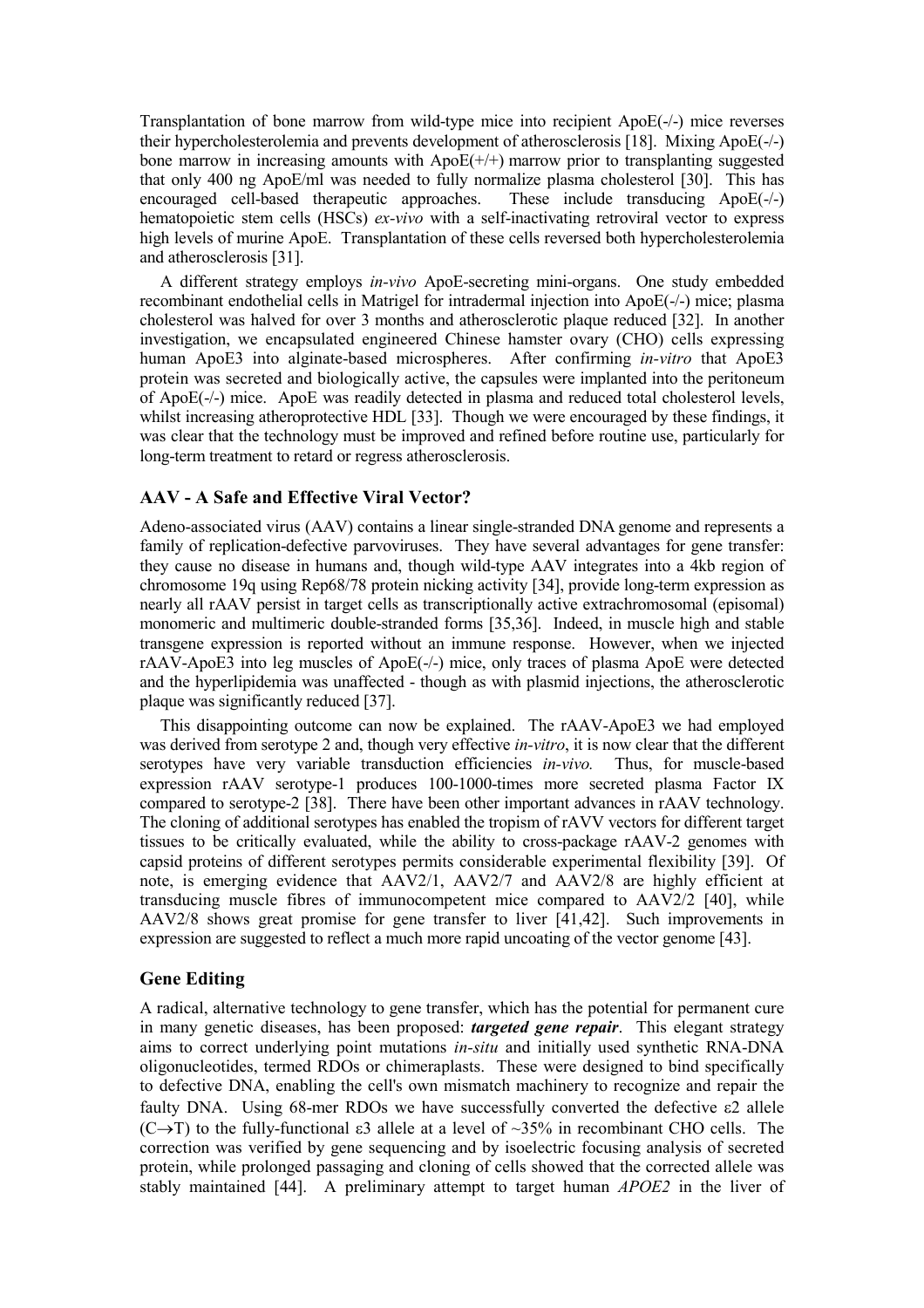Transplantation of bone marrow from wild-type mice into recipient ApoE(-/-) mice reverses their hypercholesterolemia and prevents development of atherosclerosis [18]. Mixing ApoE(-/-) bone marrow in increasing amounts with  $ApoE(+/+)$  marrow prior to transplanting suggested that only 400 ng ApoE/ml was needed to fully normalize plasma cholesterol [30]. This has encouraged cell-based therapeutic approaches. These include transducing ApoE(-/-) encouraged cell-based therapeutic approaches. hematopoietic stem cells (HSCs) ex-vivo with a self-inactivating retroviral vector to express high levels of murine ApoE. Transplantation of these cells reversed both hypercholesterolemia and atherosclerosis [31].

 A different strategy employs in-vivo ApoE-secreting mini-organs. One study embedded recombinant endothelial cells in Matrigel for intradermal injection into ApoE(-/-) mice; plasma cholesterol was halved for over 3 months and atherosclerotic plaque reduced [32]. In another investigation, we encapsulated engineered Chinese hamster ovary (CHO) cells expressing human ApoE3 into alginate-based microspheres. After confirming *in-vitro* that ApoE3 protein was secreted and biologically active, the capsules were implanted into the peritoneum of ApoE(-/-) mice. ApoE was readily detected in plasma and reduced total cholesterol levels, whilst increasing atheroprotective HDL [33]. Though we were encouraged by these findings, it was clear that the technology must be improved and refined before routine use, particularly for long-term treatment to retard or regress atherosclerosis.

#### AAV - A Safe and Effective Viral Vector?

Adeno-associated virus (AAV) contains a linear single-stranded DNA genome and represents a family of replication-defective parvoviruses. They have several advantages for gene transfer: they cause no disease in humans and, though wild-type AAV integrates into a 4kb region of chromosome 19q using Rep68/78 protein nicking activity [34], provide long-term expression as nearly all rAAV persist in target cells as transcriptionally active extrachromosomal (episomal) monomeric and multimeric double-stranded forms [35,36]. Indeed, in muscle high and stable transgene expression is reported without an immune response. However, when we injected rAAV-ApoE3 into leg muscles of ApoE(-/-) mice, only traces of plasma ApoE were detected and the hyperlipidemia was unaffected - though as with plasmid injections, the atherosclerotic plaque was significantly reduced [37].

 This disappointing outcome can now be explained. The rAAV-ApoE3 we had employed was derived from serotype 2 and, though very effective *in-vitro*, it is now clear that the different serotypes have very variable transduction efficiencies *in-vivo*. Thus, for muscle-based expression rAAV serotype-1 produces 100-1000-times more secreted plasma Factor IX compared to serotype-2 [38]. There have been other important advances in rAAV technology. The cloning of additional serotypes has enabled the tropism of rAVV vectors for different target tissues to be critically evaluated, while the ability to cross-package rAAV-2 genomes with capsid proteins of different serotypes permits considerable experimental flexibility [39]. Of note, is emerging evidence that AAV2/1, AAV2/7 and AAV2/8 are highly efficient at transducing muscle fibres of immunocompetent mice compared to  $AAV2/2$  [40], while AAV2/8 shows great promise for gene transfer to liver [41,42]. Such improvements in expression are suggested to reflect a much more rapid uncoating of the vector genome [43].

## Gene Editing

A radical, alternative technology to gene transfer, which has the potential for permanent cure in many genetic diseases, has been proposed: *targeted gene repair*. This elegant strategy aims to correct underlying point mutations in-situ and initially used synthetic RNA-DNA oligonucleotides, termed RDOs or chimeraplasts. These were designed to bind specifically to defective DNA, enabling the cell's own mismatch machinery to recognize and repair the faulty DNA. Using 68-mer RDOs we have successfully converted the defective ε2 allele (C $\rightarrow$ T) to the fully-functional  $\varepsilon$ 3 allele at a level of  $\sim$ 35% in recombinant CHO cells. The correction was verified by gene sequencing and by isoelectric focusing analysis of secreted protein, while prolonged passaging and cloning of cells showed that the corrected allele was stably maintained [44]. A preliminary attempt to target human APOE2 in the liver of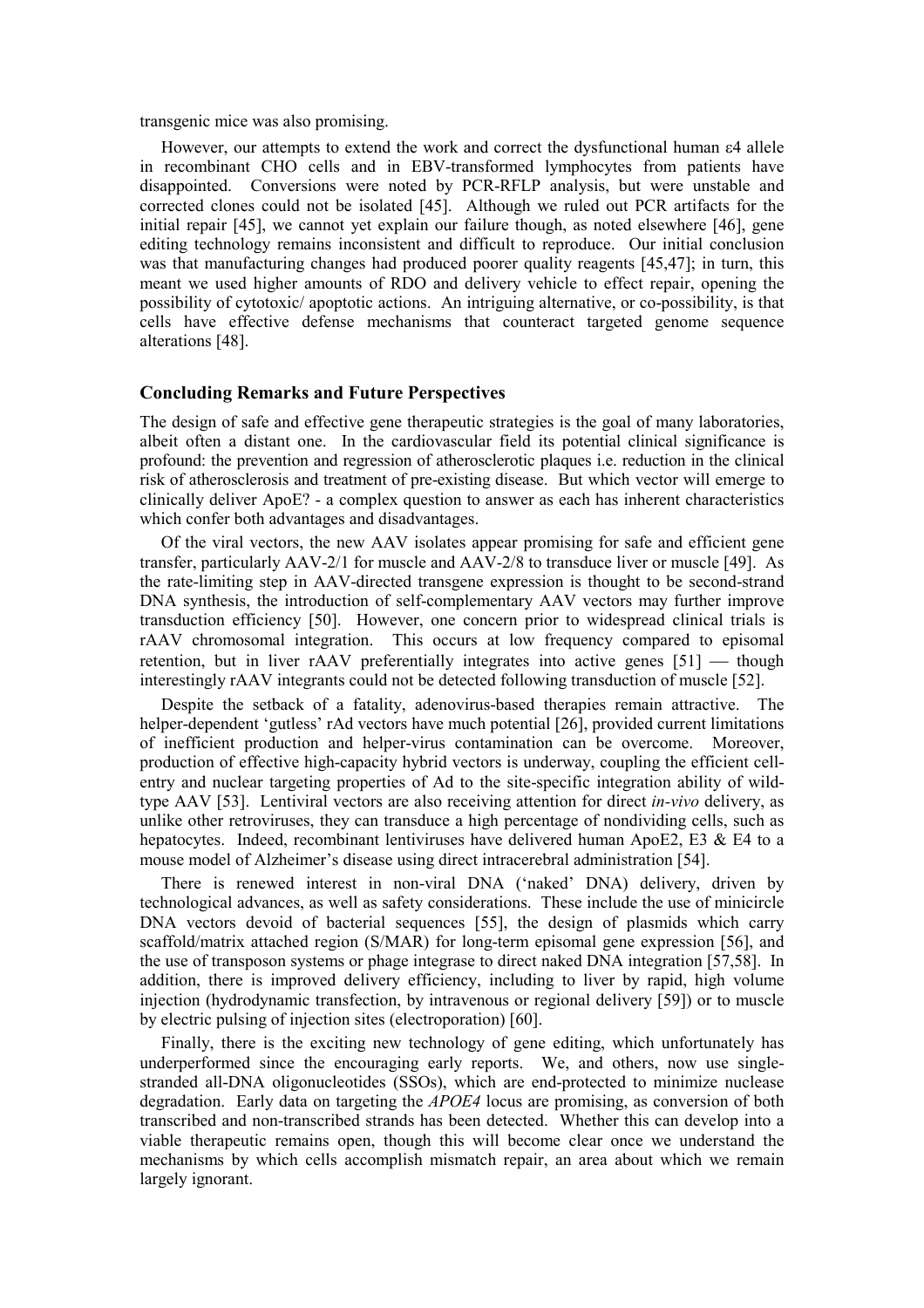transgenic mice was also promising.

 However, our attempts to extend the work and correct the dysfunctional human ε4 allele in recombinant CHO cells and in EBV-transformed lymphocytes from patients have disappointed. Conversions were noted by PCR-RFLP analysis, but were unstable and corrected clones could not be isolated [45]. Although we ruled out PCR artifacts for the initial repair [45], we cannot yet explain our failure though, as noted elsewhere [46], gene editing technology remains inconsistent and difficult to reproduce. Our initial conclusion was that manufacturing changes had produced poorer quality reagents [45,47]; in turn, this meant we used higher amounts of RDO and delivery vehicle to effect repair, opening the possibility of cytotoxic/ apoptotic actions. An intriguing alternative, or co-possibility, is that cells have effective defense mechanisms that counteract targeted genome sequence alterations [48].

#### Concluding Remarks and Future Perspectives

The design of safe and effective gene therapeutic strategies is the goal of many laboratories, albeit often a distant one. In the cardiovascular field its potential clinical significance is profound: the prevention and regression of atherosclerotic plaques i.e. reduction in the clinical risk of atherosclerosis and treatment of pre-existing disease. But which vector will emerge to clinically deliver ApoE? - a complex question to answer as each has inherent characteristics which confer both advantages and disadvantages.

 Of the viral vectors, the new AAV isolates appear promising for safe and efficient gene transfer, particularly AAV-2/1 for muscle and AAV-2/8 to transduce liver or muscle [49]. As the rate-limiting step in AAV-directed transgene expression is thought to be second-strand DNA synthesis, the introduction of self-complementary AAV vectors may further improve transduction efficiency [50]. However, one concern prior to widespread clinical trials is rAAV chromosomal integration. This occurs at low frequency compared to episomal retention, but in liver  $rAAV$  preferentially integrates into active genes  $[51]$  — though interestingly rAAV integrants could not be detected following transduction of muscle [52].

 Despite the setback of a fatality, adenovirus-based therapies remain attractive. The helper-dependent 'gutless' rAd vectors have much potential [26], provided current limitations of inefficient production and helper-virus contamination can be overcome. Moreover, production of effective high-capacity hybrid vectors is underway, coupling the efficient cellentry and nuclear targeting properties of Ad to the site-specific integration ability of wildtype AAV [53]. Lentiviral vectors are also receiving attention for direct in-vivo delivery, as unlike other retroviruses, they can transduce a high percentage of nondividing cells, such as hepatocytes. Indeed, recombinant lentiviruses have delivered human ApoE2, E3 & E4 to a mouse model of Alzheimer's disease using direct intracerebral administration [54].

 There is renewed interest in non-viral DNA ('naked' DNA) delivery, driven by technological advances, as well as safety considerations. These include the use of minicircle DNA vectors devoid of bacterial sequences [55], the design of plasmids which carry scaffold/matrix attached region (S/MAR) for long-term episomal gene expression [56], and the use of transposon systems or phage integrase to direct naked DNA integration [57,58]. In addition, there is improved delivery efficiency, including to liver by rapid, high volume injection (hydrodynamic transfection, by intravenous or regional delivery [59]) or to muscle by electric pulsing of injection sites (electroporation) [60].

 Finally, there is the exciting new technology of gene editing, which unfortunately has underperformed since the encouraging early reports. We, and others, now use singlestranded all-DNA oligonucleotides (SSOs), which are end-protected to minimize nuclease degradation. Early data on targeting the APOE4 locus are promising, as conversion of both transcribed and non-transcribed strands has been detected. Whether this can develop into a viable therapeutic remains open, though this will become clear once we understand the mechanisms by which cells accomplish mismatch repair, an area about which we remain largely ignorant.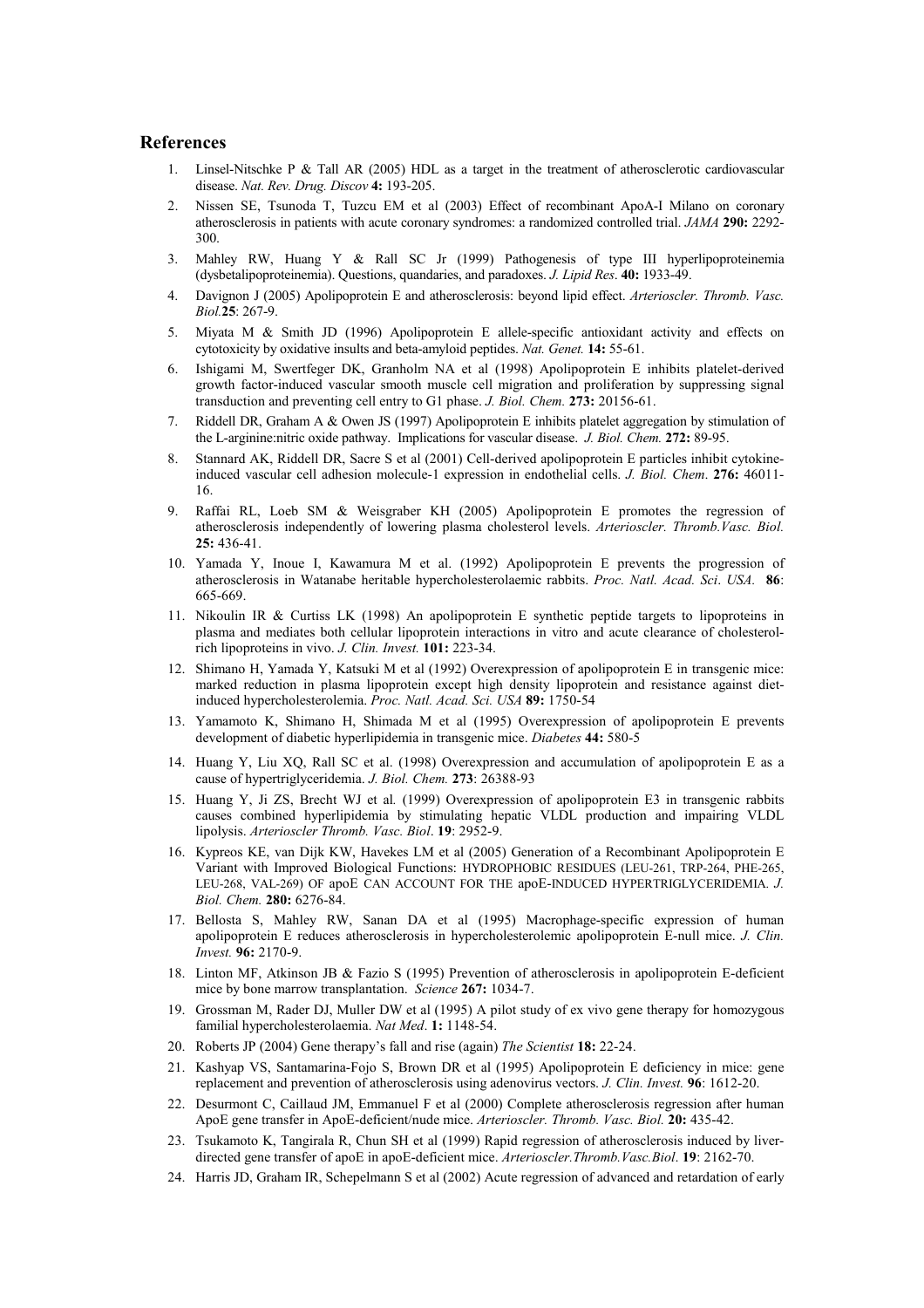#### References

- 1. Linsel-Nitschke P & Tall AR (2005) HDL as a target in the treatment of atherosclerotic cardiovascular disease. Nat. Rev. Drug. Discov 4: 193-205.
- 2. Nissen SE, Tsunoda T, Tuzcu EM et al (2003) Effect of recombinant ApoA-I Milano on coronary atherosclerosis in patients with acute coronary syndromes: a randomized controlled trial. JAMA 290: 2292- 300.
- 3. Mahley RW, Huang Y & Rall SC Jr (1999) Pathogenesis of type III hyperlipoproteinemia (dysbetalipoproteinemia). Questions, quandaries, and paradoxes. J. Lipid Res. 40: 1933-49.
- 4. Davignon J (2005) Apolipoprotein E and atherosclerosis: beyond lipid effect. Arterioscler. Thromb. Vasc. Biol.25: 267-9.
- 5. Miyata M & Smith JD (1996) Apolipoprotein E allele-specific antioxidant activity and effects on cytotoxicity by oxidative insults and beta-amyloid peptides. Nat. Genet. 14: 55-61.
- 6. Ishigami M, Swertfeger DK, Granholm NA et al (1998) Apolipoprotein E inhibits platelet-derived growth factor-induced vascular smooth muscle cell migration and proliferation by suppressing signal transduction and preventing cell entry to G1 phase. J. Biol. Chem. 273: 20156-61.
- 7. Riddell DR, Graham A & Owen JS (1997) Apolipoprotein E inhibits platelet aggregation by stimulation of the L-arginine:nitric oxide pathway. Implications for vascular disease. J. Biol. Chem. 272: 89-95.
- 8. Stannard AK, Riddell DR, Sacre S et al (2001) Cell-derived apolipoprotein E particles inhibit cytokineinduced vascular cell adhesion molecule-1 expression in endothelial cells. J. Biol. Chem. 276: 46011- 16.
- 9. Raffai RL, Loeb SM & Weisgraber KH (2005) Apolipoprotein E promotes the regression of atherosclerosis independently of lowering plasma cholesterol levels. Arterioscler. Thromb.Vasc. Biol. 25: 436-41.
- 10. Yamada Y, Inoue I, Kawamura M et al. (1992) Apolipoprotein E prevents the progression of atherosclerosis in Watanabe heritable hypercholesterolaemic rabbits. Proc. Natl. Acad. Sci. USA. 86: 665-669.
- 11. Nikoulin IR & Curtiss LK (1998) An apolipoprotein E synthetic peptide targets to lipoproteins in plasma and mediates both cellular lipoprotein interactions in vitro and acute clearance of cholesterolrich lipoproteins in vivo. J. Clin. Invest. 101: 223-34.
- 12. Shimano H, Yamada Y, Katsuki M et al (1992) Overexpression of apolipoprotein E in transgenic mice: marked reduction in plasma lipoprotein except high density lipoprotein and resistance against dietinduced hypercholesterolemia. Proc. Natl. Acad. Sci. USA 89: 1750-54
- 13. Yamamoto K, Shimano H, Shimada M et al (1995) Overexpression of apolipoprotein E prevents development of diabetic hyperlipidemia in transgenic mice. Diabetes 44: 580-5
- 14. Huang Y, Liu XQ, Rall SC et al. (1998) Overexpression and accumulation of apolipoprotein E as a cause of hypertriglyceridemia. J. Biol. Chem. 273: 26388-93
- 15. Huang Y, Ji ZS, Brecht WJ et al. (1999) Overexpression of apolipoprotein E3 in transgenic rabbits causes combined hyperlipidemia by stimulating hepatic VLDL production and impairing VLDL lipolysis. Arterioscler Thromb. Vasc. Biol. 19: 2952-9.
- 16. Kypreos KE, van Dijk KW, Havekes LM et al (2005) Generation of a Recombinant Apolipoprotein E Variant with Improved Biological Functions: HYDROPHOBIC RESIDUES (LEU-261, TRP-264, PHE-265, LEU-268, VAL-269) OF apoE CAN ACCOUNT FOR THE apoE-INDUCED HYPERTRIGLYCERIDEMIA. J. Biol. Chem. 280: 6276-84.
- 17. Bellosta S, Mahley RW, Sanan DA et al (1995) Macrophage-specific expression of human apolipoprotein E reduces atherosclerosis in hypercholesterolemic apolipoprotein E-null mice. J. Clin. Invest. 96: 2170-9.
- 18. Linton MF, Atkinson JB & Fazio S (1995) Prevention of atherosclerosis in apolipoprotein E-deficient mice by bone marrow transplantation. Science 267: 1034-7.
- 19. Grossman M, Rader DJ, Muller DW et al (1995) A pilot study of ex vivo gene therapy for homozygous familial hypercholesterolaemia. Nat Med. 1: 1148-54.
- 20. Roberts JP (2004) Gene therapy's fall and rise (again) The Scientist 18: 22-24.
- 21. Kashyap VS, Santamarina-Fojo S, Brown DR et al (1995) Apolipoprotein E deficiency in mice: gene replacement and prevention of atherosclerosis using adenovirus vectors. J. Clin. Invest. 96: 1612-20.
- 22. Desurmont C, Caillaud JM, Emmanuel F et al (2000) Complete atherosclerosis regression after human ApoE gene transfer in ApoE-deficient/nude mice. Arterioscler. Thromb. Vasc. Biol. 20: 435-42.
- 23. Tsukamoto K, Tangirala R, Chun SH et al (1999) Rapid regression of atherosclerosis induced by liverdirected gene transfer of apoE in apoE-deficient mice. Arterioscler. Thromb. Vasc.Biol. 19: 2162-70.
- 24. Harris JD, Graham IR, Schepelmann S et al (2002) Acute regression of advanced and retardation of early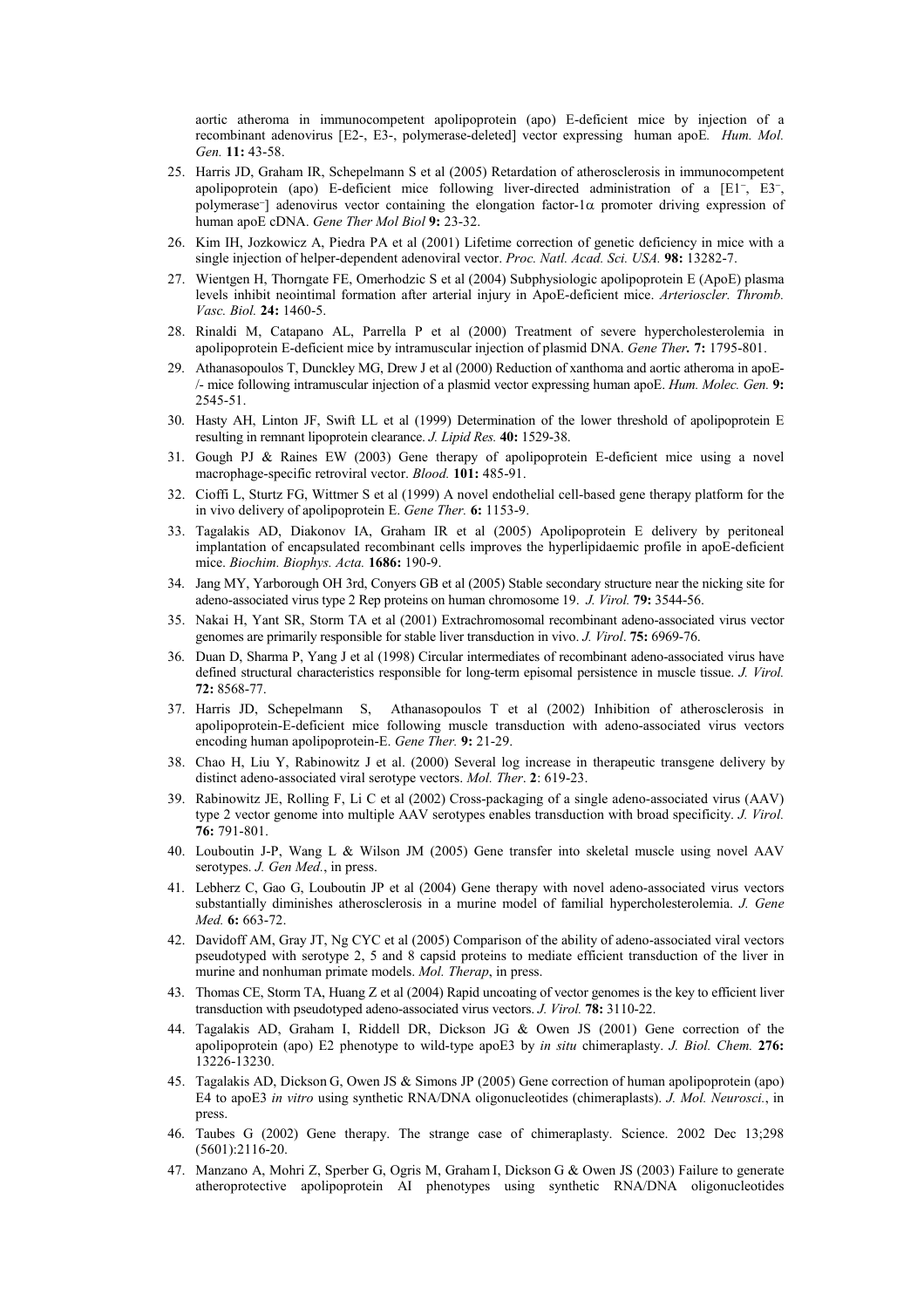aortic atheroma in immunocompetent apolipoprotein (apo) E-deficient mice by injection of a recombinant adenovirus [E2-, E3-, polymerase-deleted] vector expressing human apoE. Hum. Mol. Gen. 11: 43-58.

- 25. Harris JD, Graham IR, Schepelmann S et al (2005) Retardation of atherosclerosis in immunocompetent apolipoprotein (apo) E-deficient mice following liver-directed administration of a [E1<sup>-</sup>, E3<sup>-</sup>, polymerase<sup>−</sup> ] adenovirus vector containing the elongation factor-1α promoter driving expression of human apoE cDNA. Gene Ther Mol Biol 9: 23-32.
- 26. Kim IH, Jozkowicz A, Piedra PA et al (2001) Lifetime correction of genetic deficiency in mice with a single injection of helper-dependent adenoviral vector. Proc. Natl. Acad. Sci. USA. 98: 13282-7.
- 27. Wientgen H, Thorngate FE, Omerhodzic S et al (2004) Subphysiologic apolipoprotein E (ApoE) plasma levels inhibit neointimal formation after arterial injury in ApoE-deficient mice. Arterioscler. Thromb. Vasc. Biol. 24: 1460-5.
- 28. Rinaldi M, Catapano AL, Parrella P et al (2000) Treatment of severe hypercholesterolemia in apolipoprotein E-deficient mice by intramuscular injection of plasmid DNA. Gene Ther. 7: 1795-801.
- 29. Athanasopoulos T, Dunckley MG, Drew J et al (2000) Reduction of xanthoma and aortic atheroma in apoE- /- mice following intramuscular injection of a plasmid vector expressing human apoE. Hum. Molec. Gen. 9: 2545-51.
- 30. Hasty AH, Linton JF, Swift LL et al (1999) Determination of the lower threshold of apolipoprotein E resulting in remnant lipoprotein clearance. J. Lipid Res. 40: 1529-38.
- 31. Gough PJ & Raines EW (2003) Gene therapy of apolipoprotein E-deficient mice using a novel macrophage-specific retroviral vector. Blood. 101: 485-91.
- 32. Cioffi L, Sturtz FG, Wittmer S et al (1999) A novel endothelial cell-based gene therapy platform for the in vivo delivery of apolipoprotein E. Gene Ther. 6: 1153-9.
- 33. Tagalakis AD, Diakonov IA, Graham IR et al (2005) Apolipoprotein E delivery by peritoneal implantation of encapsulated recombinant cells improves the hyperlipidaemic profile in apoE-deficient mice. Biochim. Biophys. Acta. 1686: 190-9.
- 34. Jang MY, Yarborough OH 3rd, Conyers GB et al (2005) Stable secondary structure near the nicking site for adeno-associated virus type 2 Rep proteins on human chromosome 19. J. Virol. 79: 3544-56.
- 35. Nakai H, Yant SR, Storm TA et al (2001) Extrachromosomal recombinant adeno-associated virus vector genomes are primarily responsible for stable liver transduction in vivo. J. Virol. 75: 6969-76.
- 36. Duan D, Sharma P, Yang J et al (1998) Circular intermediates of recombinant adeno-associated virus have defined structural characteristics responsible for long-term episomal persistence in muscle tissue. J. Virol. 72: 8568-77.
- 37. Harris JD, Schepelmann S, Athanasopoulos T et al (2002) Inhibition of atherosclerosis in apolipoprotein-E-deficient mice following muscle transduction with adeno-associated virus vectors encoding human apolipoprotein-E. Gene Ther. 9: 21-29.
- 38. Chao H, Liu Y, Rabinowitz J et al. (2000) Several log increase in therapeutic transgene delivery by distinct adeno-associated viral serotype vectors. Mol. Ther. 2: 619-23.
- 39. Rabinowitz JE, Rolling F, Li C et al (2002) Cross-packaging of a single adeno-associated virus (AAV) type 2 vector genome into multiple AAV serotypes enables transduction with broad specificity. J. Virol. 76: 791-801.
- 40. Louboutin J-P, Wang L & Wilson JM (2005) Gene transfer into skeletal muscle using novel AAV serotypes. *J. Gen Med.*, in press.
- 41. Lebherz C, Gao G, Louboutin JP et al (2004) Gene therapy with novel adeno-associated virus vectors substantially diminishes atherosclerosis in a murine model of familial hypercholesterolemia. J. Gene Med. **6:** 663-72.
- 42. Davidoff AM, Gray JT, Ng CYC et al (2005) Comparison of the ability of adeno-associated viral vectors pseudotyped with serotype 2, 5 and 8 capsid proteins to mediate efficient transduction of the liver in murine and nonhuman primate models. Mol. Therap, in press.
- 43. Thomas CE, Storm TA, Huang Z et al (2004) Rapid uncoating of vector genomes is the key to efficient liver transduction with pseudotyped adeno-associated virus vectors. J. Virol. 78: 3110-22.
- 44. Tagalakis AD, Graham I, Riddell DR, Dickson JG & Owen JS (2001) Gene correction of the apolipoprotein (apo) E2 phenotype to wild-type apoE3 by in situ chimeraplasty. J. Biol. Chem. 276: 13226-13230.
- 45. Tagalakis AD, Dickson G, Owen JS & Simons JP (2005) Gene correction of human apolipoprotein (apo) E4 to apoE3 in vitro using synthetic RNA/DNA oligonucleotides (chimeraplasts). J. Mol. Neurosci., in press.
- 46. Taubes G (2002) Gene therapy. The strange case of chimeraplasty. Science. 2002 Dec 13;298 (5601):2116-20.
- 47. Manzano A, Mohri Z, Sperber G, Ogris M, Graham I, Dickson G & Owen JS (2003) Failure to generate atheroprotective apolipoprotein AI phenotypes using synthetic RNA/DNA oligonucleotides